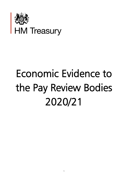

# Economic Evidence to the Pay Review Bodies 2020/21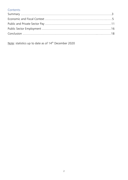### **Contents**

Note: statistics up to date as of 14<sup>th</sup> December 2020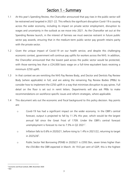## Section 1 - Summary

- 1.1 At this year's Spending Review, the Chancellor announced that pay rises in the public sector will be restrained and targeted in 2021-22. This reflects the significant disruption Covid-19 is causing across the wider economy, including its impact on private sector employment, disruption to wages and uncertainty in the outlook as we move into 2021. As the Chancellor set out at the Spending Review launch, in the interest of fairness we must exercise restraint in future public sector pay awards, ensuring that in the medium-term public sector pay growth retains parity with the private sector.
- 1.2 Given the unique impact of Covid-19 on our health service, and despite this challenging economic context, government will continue pay uplifts for workers across the NHS. In addition, the Chancellor announced that the lowest paid across the public sector would be protected, with those earning less than a £24,000 basic wage on a full-time equivalent basis receiving a minimum £250 uplift.
- 1.3 In that context we are remitting the NHS Pay Review Body, and Doctor and Dentists Pay Review Body (where applicable) in full, and are asking the remaining Pay Review Bodies (PRBs) to consider how to implement the £250 uplift in a way that minimises disruption to pay spines. Full detail on the floor is set out in remit letters. Departments will also ask PRBs to make recommendations on workforce specific issues and reform strategies, where applicable.
- 1.4 This document sets out the economic and fiscal background to this policy decision. Key points are:
	- o Covid-19 has had a significant impact on the wider economy. In the OBR's central forecast, output is projected to fall by 11.3% this year, which would be the largest annual fall since the Great Frost of 1709. Under the OBR's central forecast unemployment is forecast to rise to 7.5% in Q2 2021<sup>1</sup>.
	- o Inflation falls to 0.6% in 2020/21, before rising to 1.4% in 2021/22, returning to target in 2025/26<sup>2</sup>.
	- o Public Sector Net Borrowing (PSNB) in 2020/21 is £393.5bn, seven times higher than the £54.8bn the OBR expected in March. At 19.0 per cent of GDP, this is the highest

2 Ibid

<sup>1</sup> Economic and fiscal outlook, OBR, November 2020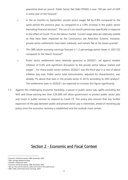peacetime level on record. Public Sector Net Debt (PSND) is over 100 per cent of GDP in every year of the forecast<sup>3</sup>.

- o In the six months to September, private sector wages fell by 0.8% compared to the same period the previous year, as compared to a 3.9% increase in the public sector (excluding financial services)<sup>4</sup>. The use of a six-month period was specifically in response to the effect of Covid-19 on the labour market. Current wage data are relatively volatile as they have been impacted by the Coronavirus Job Retention Scheme: however, private sector settlements have been subdued, and remain flat at the lower quartile<sup>5</sup>.
- o The OBR whole economy earnings forecast is 1.2 percentage points lower in 2021/22 compared to the March forecast<sup>6</sup>.
- o Public sector settlements were relatively generous in 2020/21, set against modest inflation of 0.6% and significant disruption to the private sector labour market and wages<sup>7</sup>. For many public sector workers 2020/21 was the third year in a row of above inflation pay rises. Public sector total remuneration, adjusted for characteristics, was already  $7\%$  above that seen in the private sector in 2019, according to ONS analysis $^8$ . The settlements seen in 2020/21 are expected to increase this figure significantly.
- 1.5 Against this challenging economic backdrop, a pause in public sector pay uplifts excluding the NHS and those earning less than £24,000 will allow government to protect public sector jobs and invest in public services to respond to Covid-19. This policy also ensures that any further expansion of the gap between public and private sector pay is minimised, ahead of revisiting pay policy once the economic recovery is established and the outlook more certain.

## Section 2 - Economic and Fiscal Context

<sup>3</sup> Economic and fiscal outlook, OBR, November 2020

<sup>4</sup> ONS, Average Weekly Earnings

<sup>5</sup> XpertHR, settlements data

<sup>6</sup> Economic and fiscal outlook, OBR, November 2020  $7$  Gov.uk, Pay rises for doctors, police and more in the public sector

<sup>8</sup> ONS, Public and Private Sector Earnings: 2019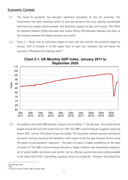#### Economic Context:

- 2.1 The Covid-19 pandemic has brought significant disruption to the UK economy. The Government has taken necessary action to slow the spread of the virus, placing considerable restrictions on people and businesses, and providing support to jobs and income. The Office for National Statistics (ONS) estimates that output fell by 25% between February and April as the economy entered the largest recession on record<sup>9</sup>.
- 2.2 Chart 2.1 shows that as restrictions began to ease over the summer the economy began to recover. GDP in October is 23.4% higher than its April low. However, this still leaves the economy 7.9% below the February level<sup>10</sup>.



**Chart 2.1: UK Monthly GDP Index, January 2011 to September 2020**

2.3 According to the latest OBR forecast, output is set to fall by 11.3% this year. This would be the largest annual fall since the Great Frost of 1709. The OBR's central forecast suggests output by March 2021 will be 10% below its pre-virus peak. The long-term outlook assumes permanent economic scarring caused by the pandemic with output at the five-year forecast horizon lying 3% below its pre-pandemic trajectory<sup>11</sup>. The path of output is highly conditional on the path of Covid-19. The OBR's central forecast assumes a higher infection rate necessitates keeping a set of public health restrictions over winter, but an effective vaccine becomes widely available in the latter half of 2021 permitting a gradual return to normal life. However, the outlook for

<sup>9</sup> ONS GDP April 2020

 $10$  Ibid

<sup>11</sup> Economic and fiscal outlook, OBR, November 2020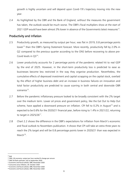growth is highly uncertain and will depend upon Covid-19's trajectory moving into the new year.

2.4 As highlighted by the OBR and the Bank of England, without the measures the government has taken, the outlook would be much worse. The OBR's fiscal multipliers show at the start of 2021 GDP would have been almost 3% lower in absence of the Governments latest measures<sup>12</sup>.

#### Productivity and Inflation

- 2.5 Productivity growth, as measured by output per hour, was flat in 2019, 0.8 percentage points lower<sup>13</sup> than the OBR's Spring Statement forecast. More recently, productivity fell by 2.0% in Q2 compared to the previous quarter according to the ONS before recovering to above pre-Covid levels in  $Q3^{14}$ .
- 2.6 Lower productivity accounts for 2 percentage points of the pandemic related hit to real GDP by the end of 2025. However, in the short-term productivity loss is predicted to ease as businesses become less restricted in the way they organise production. Nevertheless, the cumulative effects of depressed investment and capital scrapping on the capital stock, overlaid by the effect of higher business debt and an increase in business failures on innovation and total factor productivity are predicted to cause scarring in both central and downside OBR scenarios<sup>15</sup>.
- 2.7 Before the pandemic inflationary pressure looked to be broadly consistent with the 2% target over the medium term. Lower oil prices and government policy, like the Eat Out to Help Out scheme, have applied a downward pressure on inflation. CPI fell to 0.2% in August<sup>16</sup> and is expected to be 0.6% for the 2020/21 financial year, before rising to 1.4% in 2021/22, returning to target in 2025/26<sup>17</sup>.
- 2.8 Chart 2.2 shows the difference in the OBR's expectations for inflation from March's economic and fiscal outlook to Novembers publication. It shows that CPI will take an extra three years to reach the 2% target and will be 0.8 percentage points lower in 2020/21 than was expected in  $March<sup>18</sup>$ .

 $12$  Ihid

<sup>&</sup>lt;sup>13</sup> ONS, UK economy: output per hour worked % change per annum

<sup>14</sup> ONS UK flash estimate: July to September 2020

<sup>15</sup> Economic and fiscal outlook, OBR, November 2020

<sup>16</sup> Consumer price inflation, UK: October 2020

<sup>17</sup> Economic and fiscal outlook, OBR, November 2020 <sup>18</sup> Economic and fiscal outlook, OBR, November 2020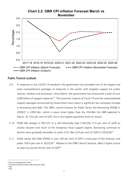#### **Chart 2.2: OBR CPI inflation Forecast March vs November**



#### Public finance outlook

- 2.9 In response to the COVID-19 pandemic the government has provided one of the largest and most comprehensive packages of measures in the world, with targeted support for public services, workers and businesses. Since March, the government has announced a total of over £280 billion of support measures<sup>19</sup>. The economic impacts of Covid-19 and the unprecedented support packages announced by Government have meant a significant but necessary increase in borrowing and debt. The OBR's central forecast for Public Sector Net Borrowing (PSNB) in 2020/21 is £393.5bn, which is seven times higher than the £54.8bn the OBR expected in March. At 19.0 per cent of GDP, this is the highest peacetime level on record.
- 2.10 PSNB falls sharply in 2021/22 to a still historically high £164.2bn (7.4 per cent of GDP) as activity recovers and much of the temporary fiscal support expires. Borrowing continues to decline more gradually thereafter to reach  $£101.8$ bn (3.9 per cent of GDP) in 2025/26<sup>20</sup>.
- 2.11 Public Sector Net Debt (PSND) is over 100 per cent of GDP in every year of the forecast, and peaks 109.4 per cent in 2023/24<sup>21</sup>. Relative to the OBR's March forecast, debt is higher across all years by around 30 per cent of  $GDP^{22}$ .

<sup>19</sup> Gov.uk, Spending Review 2020

<sup>20</sup> Economic and fiscal outlook, OBR, November 2020

 $21$  Ibid  $22$  Ibid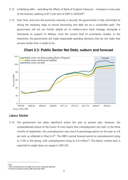- 2.12 Underlying debt excluding the effects of Bank of England measures increases in every year of the forecast, peaking at 97.5 per cent of GDP in 2025/26<sup>23</sup>.
- 2.13 Over time, and once the economic recovery is secured, the government is fully committed to taking the necessary steps to ensure borrowing and debt are on a sustainable path. The government will set out further details on its medium-term fiscal strategy, alongside a framework to support its delivery, once the current level of uncertainty recedes. In the meantime, the government will make responsible spending decisions that do not make that process harder than it needs to be.



#### **Chart 2.3: Public Sector Net Debt, outturn and forecast**

#### Labour Market

2.14 The government has taken significant action this year to protect jobs. However, the unprecedented nature of the Covid-19 crisis means that unemployment has risen: in the three months to September, the unemployment rate rose 0.9 percentage points on the year to 4.8 per cent, as reflected in Chart  $2.4^{24}$ . The OBR's central forecast points to unemployment rising to 7.5% in the spring, with unemployment rising to 2.6 million<sup>25</sup>. This labour market slack is expected to weigh down on wages in 2021/22.

 $23$  Ibid

<sup>24</sup> ONS, Unemployment rate (aged 16 and over, seasonally adjusted)

<sup>&</sup>lt;sup>25</sup> Economic and fiscal outlook, OBR, November 2020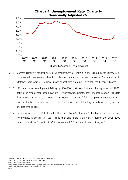

- 2.15 Current relatively modest rises in unemployment as shown in the Labour Force Survey (LFS) contrast with substantial rises in both the claimant count and Universal Credit claims. In October there were 2.7 million<sup>26</sup> more households claiming Universal Credit than in March.
- 2.16 LFS data shows employment falling by 500,000<sup>27</sup> between first and third quarters of 2020, taking the employment rate down by 1.1<sup>28</sup> percentage points. Real time information (RTI) data from the PAYE tax system showed a 782,000 (2.7 percent)<sup>29</sup> fall in employees between March and September. The first six months of 2020 saw some of the largest falls in employment in the last two decades.
- 2.17 Redundancies rose to 314,000 in the three months to September<sup>30</sup> the highest level on record. Meanwhile, vacancies this year fell further and more rapidly than during the 2008-2009 recession and the 3 months to October were still 35 per cent down on the year<sup>31</sup>.

 $31$  Ibid

<sup>26</sup> Gov.uk, Universal Credit statistics: 29 April 2013 to October 2020

<sup>27</sup> ONS, labour market overview, UK: November 2020

<sup>28</sup> ONS, labour market overview

<sup>&</sup>lt;sup>29</sup> ONS, earnings and employment from pay as you earn real time information, UK: November 2020

<sup>30</sup> ONS, labour market overview, UK: November 2020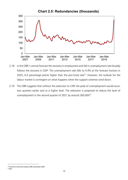

- 2.18 In the OBR 's central forecast the recovery in employment and fall in unemployment rate broadly follows the recovery in GDP. The unemployment rate falls to 4.4% at the forecast horizon in 2025, 0.4 percentage points higher than the pre-Covid rate<sup>32</sup>. However, the outlook for the labour market is contingent on what happens when the support schemes wind down.
- 2.19 The OBR suggests that without the extension to CJRS the peak of unemployment would occur two quarters earlier and at a higher level. The extension is projected to reduce the level of unemployment in the second quarter of 2021 by around 300,000<sup>33</sup>.

<sup>&</sup>lt;sup>32</sup> Economic and fiscal outlook, OBR, November 2020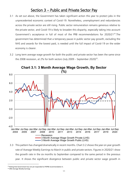## Section 3 – Public and Private Sector Pay

- 3.1 As set out above, the Government has taken significant action this year to protect jobs in the unprecedented economic context of Covid-19. Nonetheless, unemployment and redundancies across the private sector are still rising. Public sector remuneration remains generous relative to the private sector, and Covid-19 is likely to broaden this disparity, especially taking into account Government's acceptance in full of most of the PRB recommendations for 2020/21<sup>34</sup>. The government has determined that a temporary pause in public sector pay growth, excluding the NHS and awards for the lowest paid, is needed until the full impact of Covid-19 on the wider economy is clearer.
- 3.2 Long term average wage growth for both the public and private sector has been the same since the 2008 recession, at 2% for both sectors (July 2009 – September 2020)<sup>35</sup>.



**Chart 3.1: 3 Month Average Wage Growth, By Sector** 

3.3 This pattern has changed dramatically in recent months. Chart 3.2 shows the year on year growth rate of Average Weekly Earnings to March in public and private sectors. Figures in 2020/21 show the growth rate in the six months to September compared to the same period in the previous year. It shows the significant divergence between public and private sector wage growth in

<sup>&</sup>lt;sup>34</sup> Noting that Government has not yet responded to PSPRB recommendation 3.

<sup>35</sup> ONS Average Weekly Earnings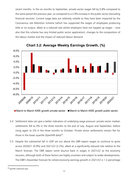recent months. In the six months to September, private sector wages fell by 0.8% compared to the same period the previous year, as compared to a 3.9% increase in the public sector (excluding financial services). Current wage data are relatively volatile as they have been impacted by the Coronavirus Job Retention Scheme (which has supported the wages of employees producing little or no output, albeit at a reduced rate where employers have not topped up wages – note also that this scheme has very limited public sector application), changes to the composition of the labour market and the impact of reduced labour demand.



**Chart 3.2: Average Weekly Earnings Growth, (%)**

■ March to March AWE growth private sector ■ March to March AWE growth public sector

- 3.4 Settlement data can give a better indication of underlying wage pressure: private sector median settlements fell to 0% in the three months to the end of July, August and September, before rising again to 2% in the three months to October. Private sector settlements remain flat for those in the lower quartile (XpertHR data) $36$ .
- 3.5 Despite the substantial fall in GDP set out above the OBR expect wages to continue to grow across 2020/21 (0.9%) and 2021/22 (2.2%), albeit at a significantly reduced rate relative to the March forecast. The OBR expect some bounce back in wages in 2021/22 as the economy recovers, although both of these factors are highly uncertain and subject to wider developments. The OBR's November forecast for whole economy earnings growth in 2021/22 is 1.2 percentage

<sup>36</sup> XpertHR, settlements data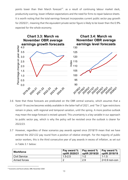points lower than their March forecast<sup>37</sup>. as a result of continuing labour market slack, productivity scarring, lower inflation expectations and the need for firms to repair balance sheets. It is worth noting that the total earnings forecast incorporates current public sector pay growth for 2020/21, meaning that the equivalent private sector figure is likely to be lower than the 0.9% expected for the whole economy.



- 3.6 Note that these forecasts are predicated on the OBR central scenario, which assumes that a Covid-19 vaccine becomes widely available in the latter half of 2021, and 'Tier 3' type restrictions remain in place, with regional and temporal variation, until the spring. A more positive outlook may mean the wage forecast is revised upward. This uncertainty is a key variable in our approach to public sector pay, which is why the policy will be revisited once the outlook is clearer for 2022/23.
- 3.7 However, regardless of these scenarios pay awards agreed since 2018/19 mean that we have entered the 2021/22 pay round from a position of relative strength. For the majority of public sector workers, this is the third consecutive year of pay awards in excess of inflation, as set out in Table 3.1 below:

| <b>Workforce</b> | Pay award %<br>uplift 2020/21 | Pay award $\%$   Pay award $\%$<br>uplift 2019/20 | uplift 2018/19  |
|------------------|-------------------------------|---------------------------------------------------|-----------------|
| Civil Service    | $1.5 - 2.5$                   | $1 - 2$                                           | $1 - 1.5$       |
| Armed forces     |                               | 2.9                                               | $2+0.9$ non-con |

<sup>&</sup>lt;sup>37</sup> Economic and fiscal outlook, OBR, November 2020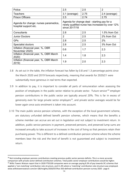| Police                                                         | 2.5                                                                                                             | 2.5  | 2             |  |
|----------------------------------------------------------------|-----------------------------------------------------------------------------------------------------------------|------|---------------|--|
| <b>Teachers</b>                                                | 3.1 (average)                                                                                                   | 2.75 | 2.4 (average) |  |
| <b>Prison Officers</b>                                         | 2.5                                                                                                             | 2.74 | 2.75          |  |
| Agenda for change: nurses paramedics,<br>hospital support etc. | Agenda for change deal - starting pay for a<br>newly qualified nurse has increased by over 12%<br>since 2017/18 |      |               |  |
| Consultants                                                    | 2.8                                                                                                             | 2.5  | 1.5% from Oct |  |
| <b>Junior Doctors</b>                                          | $\overline{2}$                                                                                                  | 2.5  | 2% from Oct   |  |
| <b>GPs</b>                                                     | 2.8                                                                                                             | 2.5  | 2%            |  |
| Specialist doctors                                             | 2.8                                                                                                             | 2.5  | 3% from Oct   |  |
| Inflation (financial year, %, OBR<br>November 2020)            | 0.6                                                                                                             | 1.7  | 2.3           |  |
| Inflation (financial year, %, OBR March<br>2020)               | 1.4                                                                                                             | 1.8  | 2.3           |  |
| Inflation (financial year, %, OBR March<br>2019)               | 1.9                                                                                                             | 2.0  | 2.3           |  |

- 3.8 As set out in the table, the inflation forecast has fallen by 0.8 and 1.3 percentage points since the March 2020 and 2019 forecasts respectively, meaning that awards for 2020/21 were substantially more generous in real terms than expected.
- 3.9 In addition to pay, it is important to consider all parts of remuneration when assessing the position of employees in the public sector relative to private sector. 'Future service'<sup>38</sup> employer pension contributions in the public sector are typically around 20%. This is far in excess of generosity even for large private sector employers<sup>39</sup>, and private sector averages would be far lower again once auto enrolment is taken into account.
- 3.10 The main public service pension schemes, with the exception of the local government scheme, are statutory unfunded defined benefit pension schemes, which means that the benefits a scheme member can accrue are set out in legislation and not subject to investment return. In addition, public service pensions in payment, preserved pensions, and preserved lump sums are increased annually to take account of increases in the cost of living so that pensions retain their purchasing power. This is different to a defined contribution pension scheme where the scheme members bear the risk and the level of benefit is not guaranteed and subject to investment return.

<sup>&</sup>lt;sup>38</sup> Not including employer pension contributions meeting previous public sector pension deficits. This is a more accurate comparison with private sector defined contribution schemes. Total public sector employer contributions would be higher. <sup>39</sup> Willis Towers Watson report that in 2020 FTSE100 companies were on average paying 8.3% of pay towards DC schemes that applied a 'non-matching' contribution rate structure, and 11.4% where a 'matching' contribution rate structure was employed. www.willistowerswatson.com/en-GB/Insights/2020/07/ftse-350-defined-contribution-pension-survey-2020 - page 6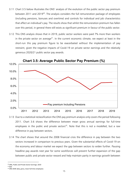- 3.11 Chart 3.5 below illustrates the ONS' analysis of the evolution of the public sector pay premium between 2011 and 2019<sup>40</sup>. The analysis considers the full remuneration package of employees (including pensions, bonuses and overtime) and controls for individual and job characteristics that affect an individual's pay. The results show that whilst the remuneration premium has fallen over this period, in general there still exists as significant premium in favour of the public sector.
- 3.12 This ONS analysis shows that in 2019, public sector workers were paid 7% more than workers in the private sector on average<sup>41</sup>. In the current economic climate, we expect at least in the short-run this pay premium figure to be exacerbated without the implementation of pay restraint, given the negative impacts of Covid-19 on private sector earnings and the relatively generous 2020/21 public sector pay awards.



- 3.13 Due to a statistical reclassification the ONS pay premium analysis only covers the period following 2011. Chart 3.6 shows the difference between mean gross annual earnings for full-time employees in the public and private sectors<sup>42</sup>. Note that this is not a modelled, but a raw difference in pay between sectors.
- 3.14 The chart shows that around the 2008 financial crisis the difference in pay between the two sectors increased in comparison to previous years. Given the substantial effects of Covid-19 on the economy and labour market we expect the gap between sectors to widen further. Pausing headline pay awards next year for some workforces will prevent further expansion of the gap between public and private sector reward and help maintain parity in earnings growth between

 $41$  Ibid

<sup>40</sup> ONS, Public and Private Sector Earnings: 2019

<sup>42</sup> ONS ASHE data, gross, mean full-time employees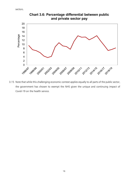

**Chart 3.6: Percentage differential between public and private sector pay**

3.15 Note that while this challenging economic context applies equally to all parts of the public sector, the government has chosen to exempt the NHS given the unique and continuing impact of Covid-19 on the health service.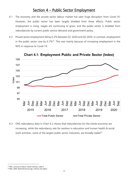## Section 4 – Public Sector Employment

- 4.1 The economy and the private sector labour market has seen huge disruption from Covid-19. However, the public sector has been largely shielded from these effects. Public sector employment is rising, wages are continuing to grow, and the public sector is shielded from redundancies by current public service demand and government policy.
- 4.2 Private sector employment fell by 0.2% between Q1 2020 and Q2 2020. In contrast, employment in the public sector rose by  $0.7\%$ <sup>43</sup>. This was mainly because of increasing employment in the NHS in response to Covid-19.



**Chart 4.1: Employment Public and Private Sector (Index)** 

4.3 ONS redundancy data in Chart 4.2 shows that redundancies for the whole economy are increasing, while the redundancy rate for workers in education and human health & social work activities, some of the largest public sector industries, are broadly stable<sup>44</sup>.

<sup>43</sup> ONS, summary of labour market statistics, table 4

<sup>44</sup> ONS, red02: Redundancies by age, industry and region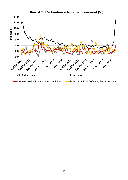

**Chart 4.2: Redundancy Rate per thousand (%)**